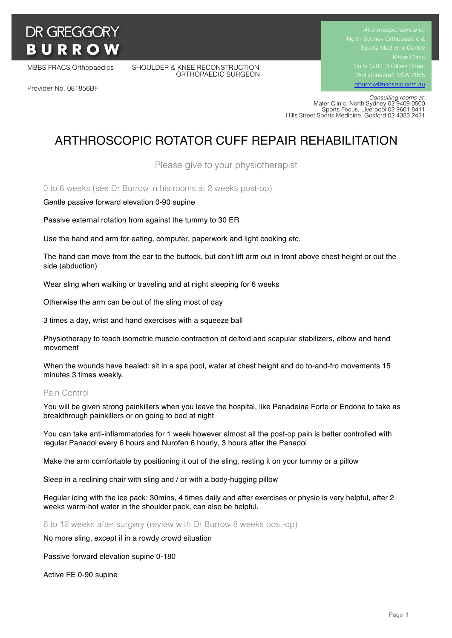# **DR GREGGORY BURROW**

MBBS FRACS Orthopaedics SHOULDER & KNEE RECONSTRUCTION ORTHOPAEDIC SURGEON Suite G.02, 3 Gillies Street

gburrow@nsosmc.com.au

Provider No. 081856BF

 *Consulting rooms at:* Mater Clinic, North Sydney 02 9409 0500 Sports Focus, Liverpool 02 9601 8411 Hills Street Sports Medicine, Gosford 02 4323 2421

# ARTHROSCOPIC ROTATOR CUFF REPAIR REHABILITATION

Please give to your physiotherapist

0 to 6 weeks (see Dr Burrow in his rooms at 2 weeks post-op)

Gentle passive forward elevation 0-90 supine

Passive external rotation from against the tummy to 30 ER

Use the hand and arm for eating, computer, paperwork and light cooking etc.

The hand can move from the ear to the buttock, but don't lift arm out in front above chest height or out the side (abduction)

Wear sling when walking or traveling and at night sleeping for 6 weeks

Otherwise the arm can be out of the sling most of day

3 times a day, wrist and hand exercises with a squeeze ball

Physiotherapy to teach isometric muscle contraction of deltoid and scapular stabilizers, elbow and hand movement

When the wounds have healed: sit in a spa pool, water at chest height and do to-and-fro movements 15 minutes 3 times weekly.

#### Pain Control

You will be given strong painkillers when you leave the hospital, like Panadeine Forte or Endone to take as breakthrough painkillers or on going to bed at night

You can take anti-inflammatories for 1 week however almost all the post-op pain is better controlled with regular Panadol every 6 hours and Nurofen 6 hourly, 3 hours after the Panadol

Make the arm comfortable by positioning it out of the sling, resting it on your tummy or a pillow

Sleep in a reclining chair with sling and / or with a body-hugging pillow

Regular icing with the ice pack: 30mins, 4 times daily and after exercises or physio is very helpful, after 2 weeks warm-hot water in the shoulder pack, can also be helpful.

6 to 12 weeks after surgery (review with Dr Burrow 8 weeks post-op)

No more sling, except if in a rowdy crowd situation

Passive forward elevation supine 0-180

Active FE 0-90 supine